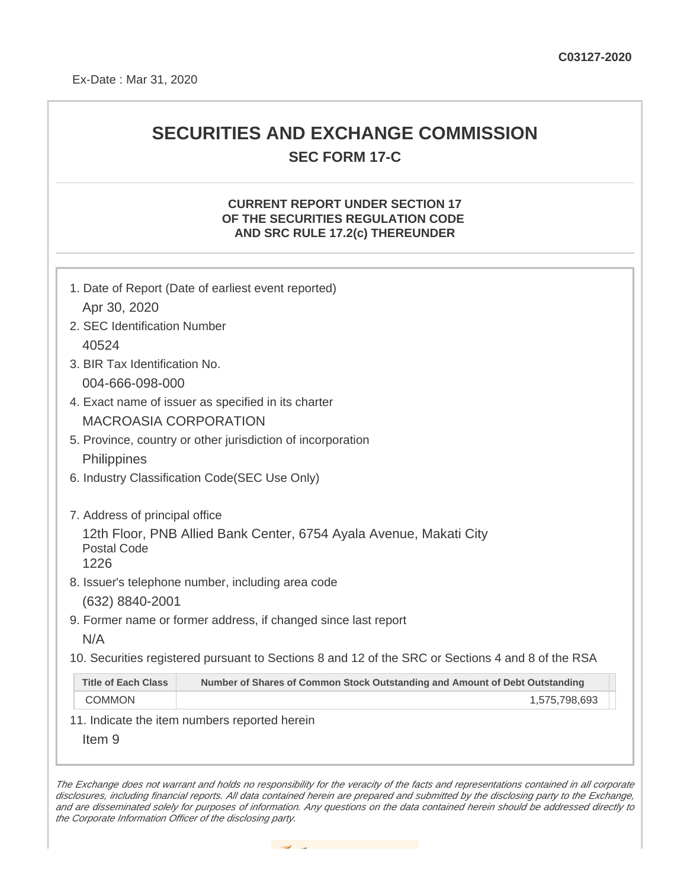## **SECURITIES AND EXCHANGE COMMISSION SEC FORM 17-C**

## **CURRENT REPORT UNDER SECTION 17 OF THE SECURITIES REGULATION CODE AND SRC RULE 17.2(c) THEREUNDER**

| 1. Date of Report (Date of earliest event reported)                                                                                                                                                                                                                                 |                                                                             |  |  |  |
|-------------------------------------------------------------------------------------------------------------------------------------------------------------------------------------------------------------------------------------------------------------------------------------|-----------------------------------------------------------------------------|--|--|--|
| Apr 30, 2020                                                                                                                                                                                                                                                                        |                                                                             |  |  |  |
| 2. SEC Identification Number                                                                                                                                                                                                                                                        |                                                                             |  |  |  |
| 40524                                                                                                                                                                                                                                                                               |                                                                             |  |  |  |
| 3. BIR Tax Identification No.                                                                                                                                                                                                                                                       |                                                                             |  |  |  |
| 004-666-098-000                                                                                                                                                                                                                                                                     |                                                                             |  |  |  |
| 4. Exact name of issuer as specified in its charter                                                                                                                                                                                                                                 |                                                                             |  |  |  |
| <b>MACROASIA CORPORATION</b>                                                                                                                                                                                                                                                        |                                                                             |  |  |  |
| 5. Province, country or other jurisdiction of incorporation                                                                                                                                                                                                                         |                                                                             |  |  |  |
| Philippines                                                                                                                                                                                                                                                                         |                                                                             |  |  |  |
| 6. Industry Classification Code (SEC Use Only)                                                                                                                                                                                                                                      |                                                                             |  |  |  |
| 7. Address of principal office<br>12th Floor, PNB Allied Bank Center, 6754 Ayala Avenue, Makati City<br><b>Postal Code</b><br>1226<br>8. Issuer's telephone number, including area code<br>(632) 8840-2001<br>9. Former name or former address, if changed since last report<br>N/A |                                                                             |  |  |  |
| 10. Securities registered pursuant to Sections 8 and 12 of the SRC or Sections 4 and 8 of the RSA                                                                                                                                                                                   |                                                                             |  |  |  |
| <b>Title of Each Class</b>                                                                                                                                                                                                                                                          | Number of Shares of Common Stock Outstanding and Amount of Debt Outstanding |  |  |  |
| <b>COMMON</b>                                                                                                                                                                                                                                                                       | 1,575,798,693                                                               |  |  |  |
| 11. Indicate the item numbers reported herein                                                                                                                                                                                                                                       |                                                                             |  |  |  |
| Item <sub>9</sub>                                                                                                                                                                                                                                                                   |                                                                             |  |  |  |

The Exchange does not warrant and holds no responsibility for the veracity of the facts and representations contained in all corporate disclosures, including financial reports. All data contained herein are prepared and submitted by the disclosing party to the Exchange, and are disseminated solely for purposes of information. Any questions on the data contained herein should be addressed directly to the Corporate Information Officer of the disclosing party.

the property of the control of the control of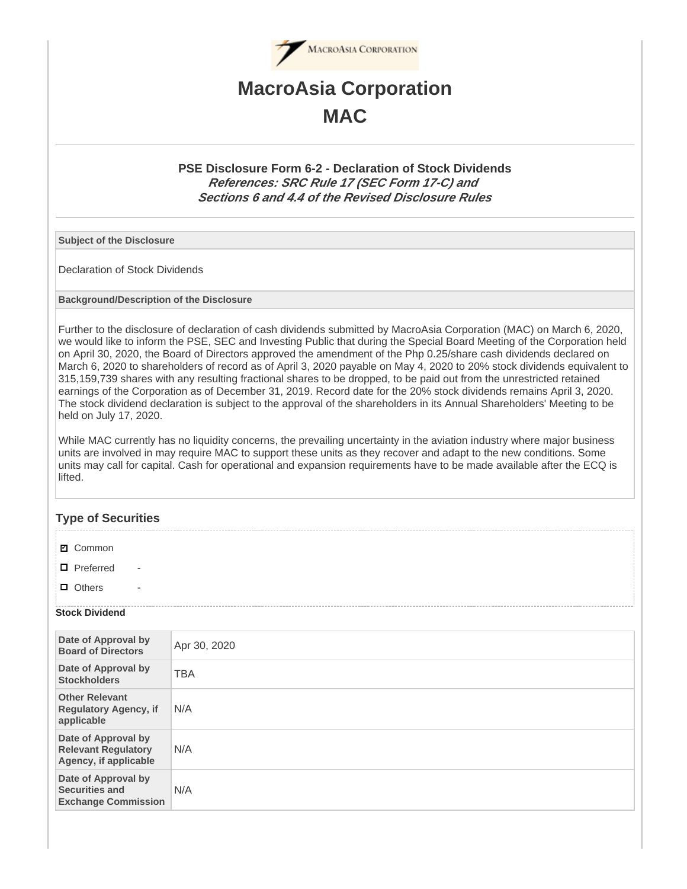

# **MacroAsia Corporation MAC**

## **PSE Disclosure Form 6-2 - Declaration of Stock Dividends References: SRC Rule 17 (SEC Form 17-C) and Sections 6 and 4.4 of the Revised Disclosure Rules**

**Subject of the Disclosure**

Declaration of Stock Dividends

**Background/Description of the Disclosure**

Further to the disclosure of declaration of cash dividends submitted by MacroAsia Corporation (MAC) on March 6, 2020, we would like to inform the PSE, SEC and Investing Public that during the Special Board Meeting of the Corporation held on April 30, 2020, the Board of Directors approved the amendment of the Php 0.25/share cash dividends declared on March 6, 2020 to shareholders of record as of April 3, 2020 payable on May 4, 2020 to 20% stock dividends equivalent to 315,159,739 shares with any resulting fractional shares to be dropped, to be paid out from the unrestricted retained earnings of the Corporation as of December 31, 2019. Record date for the 20% stock dividends remains April 3, 2020. The stock dividend declaration is subject to the approval of the shareholders in its Annual Shareholders' Meeting to be held on July 17, 2020.

While MAC currently has no liquidity concerns, the prevailing uncertainty in the aviation industry where major business units are involved in may require MAC to support these units as they recover and adapt to the new conditions. Some units may call for capital. Cash for operational and expansion requirements have to be made available after the ECQ is lifted.

## **Type of Securities**

| ☑ Common |  |
|----------|--|
|----------|--|

 $\Box$  Preferred

 $\Box$  Others

#### **Stock Dividend**

| Date of Approval by<br><b>Board of Directors</b>                           | Apr 30, 2020 |
|----------------------------------------------------------------------------|--------------|
| Date of Approval by<br><b>Stockholders</b>                                 | <b>TBA</b>   |
| <b>Other Relevant</b><br><b>Regulatory Agency, if</b><br>applicable        | N/A          |
| Date of Approval by<br><b>Relevant Regulatory</b><br>Agency, if applicable | N/A          |
| Date of Approval by<br><b>Securities and</b><br><b>Exchange Commission</b> | N/A          |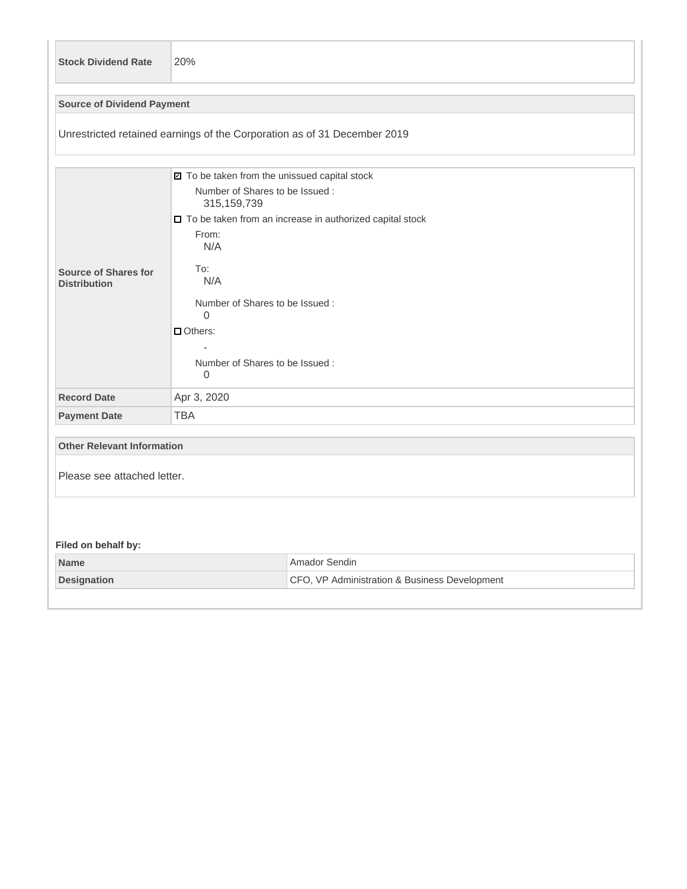| <b>Stock Dividend Rate</b>                                               | 20%                                                                                                                                                                                                                                                                                                 |                                                                |  |  |  |
|--------------------------------------------------------------------------|-----------------------------------------------------------------------------------------------------------------------------------------------------------------------------------------------------------------------------------------------------------------------------------------------------|----------------------------------------------------------------|--|--|--|
| <b>Source of Dividend Payment</b>                                        |                                                                                                                                                                                                                                                                                                     |                                                                |  |  |  |
| Unrestricted retained earnings of the Corporation as of 31 December 2019 |                                                                                                                                                                                                                                                                                                     |                                                                |  |  |  |
| Source of Shares for<br><b>Distribution</b>                              | ☑ To be taken from the unissued capital stock<br>Number of Shares to be Issued:<br>315, 159, 739<br>□ To be taken from an increase in authorized capital stock<br>From:<br>N/A<br>To:<br>N/A<br>Number of Shares to be Issued:<br>$\Omega$<br>$\Box$ Others:<br>Number of Shares to be Issued:<br>0 |                                                                |  |  |  |
| <b>Record Date</b>                                                       | Apr 3, 2020                                                                                                                                                                                                                                                                                         |                                                                |  |  |  |
| <b>Payment Date</b>                                                      | <b>TBA</b>                                                                                                                                                                                                                                                                                          |                                                                |  |  |  |
| <b>Other Relevant Information</b><br>Please see attached letter.         |                                                                                                                                                                                                                                                                                                     |                                                                |  |  |  |
| Filed on behalf by:                                                      |                                                                                                                                                                                                                                                                                                     |                                                                |  |  |  |
| <b>Name</b><br><b>Designation</b>                                        |                                                                                                                                                                                                                                                                                                     | Amador Sendin<br>CFO, VP Administration & Business Development |  |  |  |